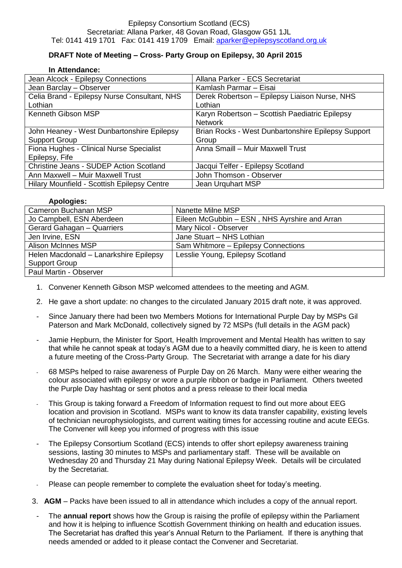## Epilepsy Consortium Scotland (ECS) Secretariat: Allana Parker, 48 Govan Road, Glasgow G51 1JL Tel: 0141 419 1701 Fax: 0141 419 1709 Email: [aparker@epilepsyscotland.org.uk](mailto:aparker@epilepsyscotland.org.uk)

## **DRAFT Note of Meeting – Cross- Party Group on Epilepsy, 30 April 2015**

## **In Attendance:**

| Jean Alcock - Epilepsy Connections             | Allana Parker - ECS Secretariat                    |
|------------------------------------------------|----------------------------------------------------|
| Jean Barclay - Observer                        | Kamlash Parmar – Eisai                             |
| Celia Brand - Epilepsy Nurse Consultant, NHS   | Derek Robertson - Epilepsy Liaison Nurse, NHS      |
| Lothian                                        | Lothian                                            |
| Kenneth Gibson MSP                             | Karyn Robertson - Scottish Paediatric Epilepsy     |
|                                                | <b>Network</b>                                     |
| John Heaney - West Dunbartonshire Epilepsy     | Brian Rocks - West Dunbartonshire Epilepsy Support |
| <b>Support Group</b>                           | Group                                              |
| Fiona Hughes - Clinical Nurse Specialist       | Anna Smaill - Muir Maxwell Trust                   |
| Epilepsy, Fife                                 |                                                    |
| <b>Christine Jeans - SUDEP Action Scotland</b> | Jacqui Telfer - Epilepsy Scotland                  |
| Ann Maxwell - Muir Maxwell Trust               | John Thomson - Observer                            |
| Hilary Mounfield - Scottish Epilepsy Centre    | Jean Urguhart MSP                                  |

## **Apologies:**

| Cameron Buchanan MSP                   | Nanette Milne MSP                             |
|----------------------------------------|-----------------------------------------------|
| Jo Campbell, ESN Aberdeen              | Eileen McGubbin - ESN, NHS Ayrshire and Arran |
| Gerard Gahagan - Quarriers             | Mary Nicol - Observer                         |
| Jen Irvine, ESN                        | Jane Stuart - NHS Lothian                     |
| <b>Alison McInnes MSP</b>              | Sam Whitmore - Epilepsy Connections           |
| Helen Macdonald - Lanarkshire Epilepsy | Lesslie Young, Epilepsy Scotland              |
| Support Group                          |                                               |
| Paul Martin - Observer                 |                                               |

- 1. Convener Kenneth Gibson MSP welcomed attendees to the meeting and AGM.
- 2. He gave a short update: no changes to the circulated January 2015 draft note, it was approved.
- Since January there had been two Members Motions for International Purple Day by MSPs Gil Paterson and Mark McDonald, collectively signed by 72 MSPs (full details in the AGM pack)
- Jamie Hepburn, the Minister for Sport, Health Improvement and Mental Health has written to say that while he cannot speak at today's AGM due to a heavily committed diary, he is keen to attend a future meeting of the Cross-Party Group. The Secretariat with arrange a date for his diary
- 68 MSPs helped to raise awareness of Purple Day on 26 March. Many were either wearing the colour associated with epilepsy or wore a purple ribbon or badge in Parliament. Others tweeted the Purple Day hashtag or sent photos and a press release to their local media
- This Group is taking forward a Freedom of Information request to find out more about EEG location and provision in Scotland. MSPs want to know its data transfer capability, existing levels of technician neurophysiologists, and current waiting times for accessing routine and acute EEGs. The Convener will keep you informed of progress with this issue
- The Epilepsy Consortium Scotland (ECS) intends to offer short epilepsy awareness training sessions, lasting 30 minutes to MSPs and parliamentary staff. These will be available on Wednesday 20 and Thursday 21 May during National Epilepsy Week. Details will be circulated by the Secretariat.
- Please can people remember to complete the evaluation sheet for today's meeting.
- 3. **AGM** Packs have been issued to all in attendance which includes a copy of the annual report.
- The **annual report** shows how the Group is raising the profile of epilepsy within the Parliament and how it is helping to influence Scottish Government thinking on health and education issues. The Secretariat has drafted this year's Annual Return to the Parliament. If there is anything that needs amended or added to it please contact the Convener and Secretariat.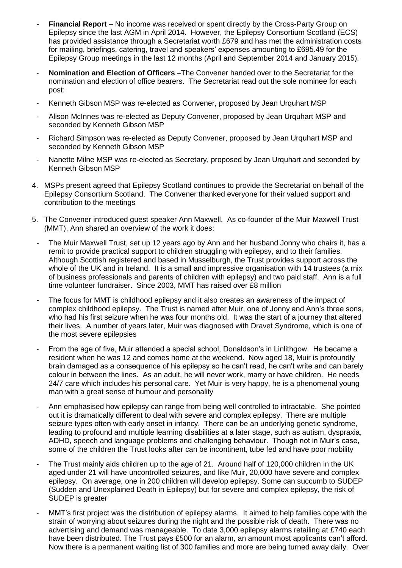- **Financial Report** No income was received or spent directly by the Cross-Party Group on Epilepsy since the last AGM in April 2014. However, the Epilepsy Consortium Scotland (ECS) has provided assistance through a Secretariat worth £679 and has met the administration costs for mailing, briefings, catering, travel and speakers' expenses amounting to £695.49 for the Epilepsy Group meetings in the last 12 months (April and September 2014 and January 2015).
- **Nomination and Election of Officers** –The Convener handed over to the Secretariat for the nomination and election of office bearers. The Secretariat read out the sole nominee for each post:
- Kenneth Gibson MSP was re-elected as Convener, proposed by Jean Urquhart MSP
- Alison McInnes was re-elected as Deputy Convener, proposed by Jean Urquhart MSP and seconded by Kenneth Gibson MSP
- Richard Simpson was re-elected as Deputy Convener, proposed by Jean Urquhart MSP and seconded by Kenneth Gibson MSP
- Nanette Milne MSP was re-elected as Secretary, proposed by Jean Urquhart and seconded by Kenneth Gibson MSP
- 4. MSPs present agreed that Epilepsy Scotland continues to provide the Secretariat on behalf of the Epilepsy Consortium Scotland. The Convener thanked everyone for their valued support and contribution to the meetings
- 5. The Convener introduced guest speaker Ann Maxwell. As co-founder of the Muir Maxwell Trust (MMT), Ann shared an overview of the work it does:
- The Muir Maxwell Trust, set up 12 years ago by Ann and her husband Jonny who chairs it, has a remit to provide practical support to children struggling with epilepsy, and to their families. Although Scottish registered and based in Musselburgh, the Trust provides support across the whole of the UK and in Ireland. It is a small and impressive organisation with 14 trustees (a mix of business professionals and parents of children with epilepsy) and two paid staff. Ann is a full time volunteer fundraiser. Since 2003, MMT has raised over £8 million
- The focus for MMT is childhood epilepsy and it also creates an awareness of the impact of complex childhood epilepsy. The Trust is named after Muir, one of Jonny and Ann's three sons, who had his first seizure when he was four months old. It was the start of a journey that altered their lives. A number of years later, Muir was diagnosed with Dravet Syndrome, which is one of the most severe epilepsies
- From the age of five, Muir attended a special school, Donaldson's in Linlithgow. He became a resident when he was 12 and comes home at the weekend. Now aged 18, Muir is profoundly brain damaged as a consequence of his epilepsy so he can't read, he can't write and can barely colour in between the lines. As an adult, he will never work, marry or have children. He needs 24/7 care which includes his personal care. Yet Muir is very happy, he is a phenomenal young man with a great sense of humour and personality
- Ann emphasised how epilepsy can range from being well controlled to intractable. She pointed out it is dramatically different to deal with severe and complex epilepsy. There are multiple seizure types often with early onset in infancy. There can be an underlying genetic syndrome, leading to profound and multiple learning disabilities at a later stage, such as autism, dyspraxia, ADHD, speech and language problems and challenging behaviour. Though not in Muir's case, some of the children the Trust looks after can be incontinent, tube fed and have poor mobility
- The Trust mainly aids children up to the age of 21. Around half of 120,000 children in the UK aged under 21 will have uncontrolled seizures, and like Muir, 20,000 have severe and complex epilepsy. On average, one in 200 children will develop epilepsy. Some can succumb to SUDEP (Sudden and Unexplained Death in Epilepsy) but for severe and complex epilepsy, the risk of SUDEP is greater
- MMT's first project was the distribution of epilepsy alarms. It aimed to help families cope with the strain of worrying about seizures during the night and the possible risk of death. There was no advertising and demand was manageable. To date 3,000 epilepsy alarms retailing at £740 each have been distributed. The Trust pays £500 for an alarm, an amount most applicants can't afford. Now there is a permanent waiting list of 300 families and more are being turned away daily. Over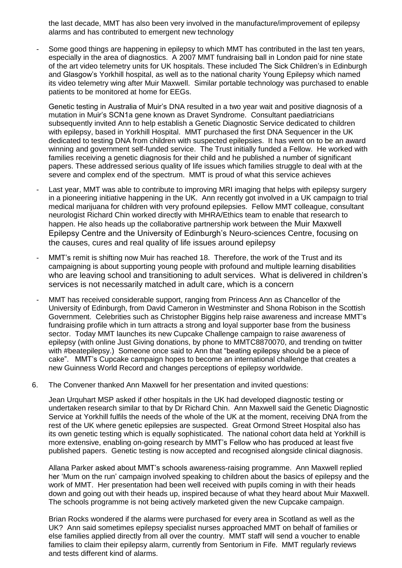the last decade, MMT has also been very involved in the manufacture/improvement of epilepsy alarms and has contributed to emergent new technology

Some good things are happening in epilepsy to which MMT has contributed in the last ten years, especially in the area of diagnostics. A 2007 MMT fundraising ball in London paid for nine state of the art video telemetry units for UK hospitals. These included The Sick Children's in Edinburgh and Glasgow's Yorkhill hospital, as well as to the national charity Young Epilepsy which named its video telemetry wing after Muir Maxwell. Similar portable technology was purchased to enable patients to be monitored at home for EEGs.

Genetic testing in Australia of Muir's DNA resulted in a two year wait and positive diagnosis of a mutation in Muir's SCN1a gene known as Dravet Syndrome. Consultant paediatricians subsequently invited Ann to help establish a Genetic Diagnostic Service dedicated to children with epilepsy, based in Yorkhill Hospital. MMT purchased the first DNA Sequencer in the UK dedicated to testing DNA from children with suspected epilepsies. It has went on to be an award winning and government self-funded service. The Trust initially funded a Fellow. He worked with families receiving a genetic diagnosis for their child and he published a number of significant papers. These addressed serious quality of life issues which families struggle to deal with at the severe and complex end of the spectrum. MMT is proud of what this service achieves

- Last year, MMT was able to contribute to improving MRI imaging that helps with epilepsy surgery in a pioneering initiative happening in the UK. Ann recently got involved in a UK campaign to trial medical marijuana for children with very profound epilepsies. Fellow MMT colleague, consultant neurologist Richard Chin worked directly with MHRA/Ethics team to enable that research to happen. He also heads up the collaborative partnership work between the Muir Maxwell Epilepsy Centre and the University of Edinburgh's Neuro-sciences Centre, focusing on the causes, cures and real quality of life issues around epilepsy
- MMT's remit is shifting now Muir has reached 18. Therefore, the work of the Trust and its campaigning is about supporting young people with profound and multiple learning disabilities who are leaving school and transitioning to adult services. What is delivered in children's services is not necessarily matched in adult care, which is a concern
- MMT has received considerable support, ranging from Princess Ann as Chancellor of the University of Edinburgh, from David Cameron in Westminster and Shona Robison in the Scottish Government. Celebrities such as Christopher Biggins help raise awareness and increase MMT's fundraising profile which in turn attracts a strong and loyal supporter base from the business sector. Today MMT launches its new Cupcake Challenge campaign to raise awareness of epilepsy (with online Just Giving donations, by phone to MMTC8870070, and trending on twitter with #beatepilepsy.) Someone once said to Ann that "beating epilepsy should be a piece of cake". MMT's Cupcake campaign hopes to become an international challenge that creates a new Guinness World Record and changes perceptions of epilepsy worldwide.
- 6. The Convener thanked Ann Maxwell for her presentation and invited questions:

Jean Urquhart MSP asked if other hospitals in the UK had developed diagnostic testing or undertaken research similar to that by Dr Richard Chin. Ann Maxwell said the Genetic Diagnostic Service at Yorkhill fulfils the needs of the whole of the UK at the moment, receiving DNA from the rest of the UK where genetic epilepsies are suspected. Great Ormond Street Hospital also has its own genetic testing which is equally sophisticated. The national cohort data held at Yorkhill is more extensive, enabling on-going research by MMT's Fellow who has produced at least five published papers. Genetic testing is now accepted and recognised alongside clinical diagnosis.

Allana Parker asked about MMT's schools awareness-raising programme. Ann Maxwell replied her 'Mum on the run' campaign involved speaking to children about the basics of epilepsy and the work of MMT. Her presentation had been well received with pupils coming in with their heads down and going out with their heads up, inspired because of what they heard about Muir Maxwell. The schools programme is not being actively marketed given the new Cupcake campaign.

Brian Rocks wondered if the alarms were purchased for every area in Scotland as well as the UK? Ann said sometimes epilepsy specialist nurses approached MMT on behalf of families or else families applied directly from all over the country. MMT staff will send a voucher to enable families to claim their epilepsy alarm, currently from Sentorium in Fife. MMT regularly reviews and tests different kind of alarms.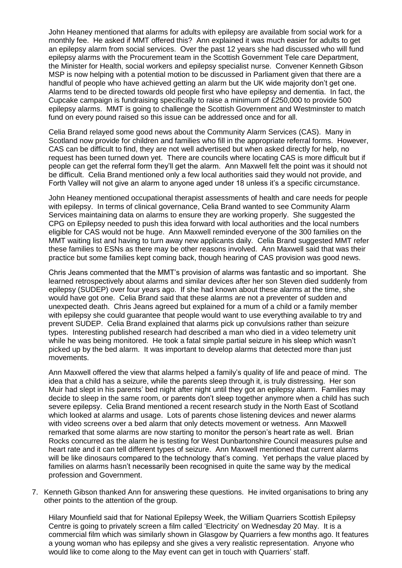John Heaney mentioned that alarms for adults with epilepsy are available from social work for a monthly fee. He asked if MMT offered this? Ann explained it was much easier for adults to get an epilepsy alarm from social services. Over the past 12 years she had discussed who will fund epilepsy alarms with the Procurement team in the Scottish Government Tele care Department, the Minister for Health, social workers and epilepsy specialist nurse. Convener Kenneth Gibson MSP is now helping with a potential motion to be discussed in Parliament given that there are a handful of people who have achieved getting an alarm but the UK wide majority don't get one. Alarms tend to be directed towards old people first who have epilepsy and dementia. In fact, the Cupcake campaign is fundraising specifically to raise a minimum of £250,000 to provide 500 epilepsy alarms. MMT is going to challenge the Scottish Government and Westminster to match fund on every pound raised so this issue can be addressed once and for all.

Celia Brand relayed some good news about the Community Alarm Services (CAS). Many in Scotland now provide for children and families who fill in the appropriate referral forms. However, CAS can be difficult to find, they are not well advertised but when asked directly for help, no request has been turned down yet. There are councils where locating CAS is more difficult but if people can get the referral form they'll get the alarm. Ann Maxwell felt the point was it should not be difficult. Celia Brand mentioned only a few local authorities said they would not provide, and Forth Valley will not give an alarm to anyone aged under 18 unless it's a specific circumstance.

John Heaney mentioned occupational therapist assessments of health and care needs for people with epilepsy. In terms of clinical governance, Celia Brand wanted to see Community Alarm Services maintaining data on alarms to ensure they are working properly. She suggested the CPG on Epilepsy needed to push this idea forward with local authorities and the local numbers eligible for CAS would not be huge. Ann Maxwell reminded everyone of the 300 families on the MMT waiting list and having to turn away new applicants daily. Celia Brand suggested MMT refer these families to ESNs as there may be other reasons involved. Ann Maxwell said that was their practice but some families kept coming back, though hearing of CAS provision was good news.

Chris Jeans commented that the MMT's provision of alarms was fantastic and so important. She learned retrospectively about alarms and similar devices after her son Steven died suddenly from epilepsy (SUDEP) over four years ago. If she had known about these alarms at the time, she would have got one. Celia Brand said that these alarms are not a preventer of sudden and unexpected death. Chris Jeans agreed but explained for a mum of a child or a family member with epilepsy she could guarantee that people would want to use everything available to try and prevent SUDEP. Celia Brand explained that alarms pick up convulsions rather than seizure types. Interesting published research had described a man who died in a video telemetry unit while he was being monitored. He took a fatal simple partial seizure in his sleep which wasn't picked up by the bed alarm. It was important to develop alarms that detected more than just movements.

Ann Maxwell offered the view that alarms helped a family's quality of life and peace of mind. The idea that a child has a seizure, while the parents sleep through it, is truly distressing. Her son Muir had slept in his parents' bed night after night until they got an epilepsy alarm. Families may decide to sleep in the same room, or parents don't sleep together anymore when a child has such severe epilepsy. Celia Brand mentioned a recent research study in the North East of Scotland which looked at alarms and usage. Lots of parents chose listening devices and newer alarms with video screens over a bed alarm that only detects movement or wetness. Ann Maxwell remarked that some alarms are now starting to monitor the person's heart rate as well. Brian Rocks concurred as the alarm he is testing for West Dunbartonshire Council measures pulse and heart rate and it can tell different types of seizure. Ann Maxwell mentioned that current alarms will be like dinosaurs compared to the technology that's coming. Yet perhaps the value placed by families on alarms hasn't necessarily been recognised in quite the same way by the medical profession and Government.

7. Kenneth Gibson thanked Ann for answering these questions. He invited organisations to bring any other points to the attention of the group.

Hilary Mounfield said that for National Epilepsy Week, the William Quarriers Scottish Epilepsy Centre is going to privately screen a film called 'Electricity' on Wednesday 20 May. It is a commercial film which was similarly shown in Glasgow by Quarriers a few months ago. It features a young woman who has epilepsy and she gives a very realistic representation. Anyone who would like to come along to the May event can get in touch with Quarriers' staff.